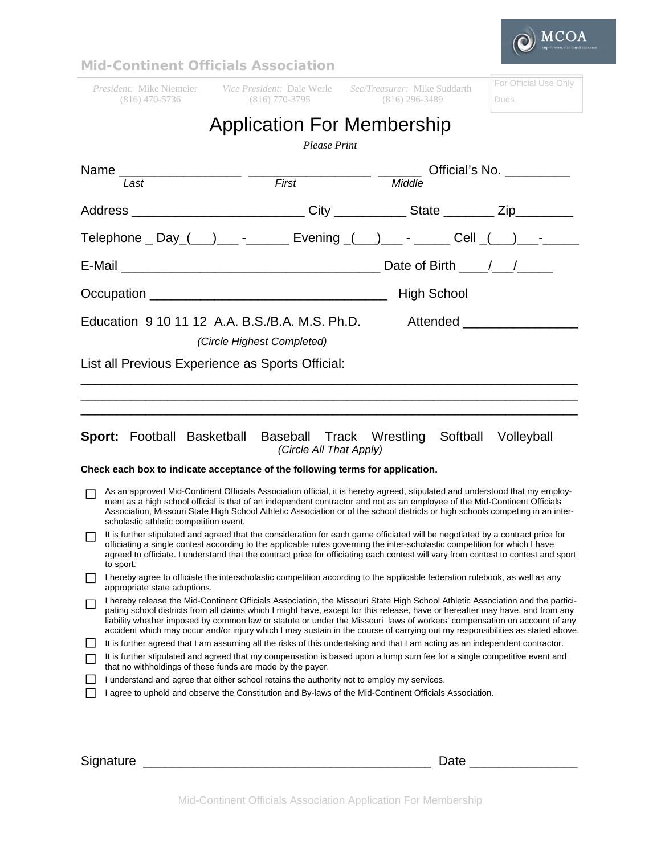

|                                                                               |                                                                                                                                                                                                                                                                                                                                                                                                                                                                                                                              | <b>Mid-Continent Officials Association</b>                                     |                                                                                         |                       |  |
|-------------------------------------------------------------------------------|------------------------------------------------------------------------------------------------------------------------------------------------------------------------------------------------------------------------------------------------------------------------------------------------------------------------------------------------------------------------------------------------------------------------------------------------------------------------------------------------------------------------------|--------------------------------------------------------------------------------|-----------------------------------------------------------------------------------------|-----------------------|--|
|                                                                               |                                                                                                                                                                                                                                                                                                                                                                                                                                                                                                                              | <i>President:</i> Mike Niemeier <i>Vice President:</i> Dale Werle              | <i>Sec/Treasurer:</i> Mike Suddarth                                                     | For Official Use Only |  |
|                                                                               | $(816)$ 470-5736                                                                                                                                                                                                                                                                                                                                                                                                                                                                                                             | $(816)$ 770-3795                                                               | $(816)$ 296-3489                                                                        | Dues <b>Dues</b>      |  |
|                                                                               |                                                                                                                                                                                                                                                                                                                                                                                                                                                                                                                              | <b>Application For Membership</b><br><b>Please Print</b>                       |                                                                                         |                       |  |
| Official's No. __________                                                     |                                                                                                                                                                                                                                                                                                                                                                                                                                                                                                                              |                                                                                |                                                                                         |                       |  |
|                                                                               | Last                                                                                                                                                                                                                                                                                                                                                                                                                                                                                                                         | $\overline{First}$                                                             | Middle                                                                                  |                       |  |
|                                                                               |                                                                                                                                                                                                                                                                                                                                                                                                                                                                                                                              |                                                                                | Address ____________________________City ____________State _________ Zip_________       |                       |  |
|                                                                               |                                                                                                                                                                                                                                                                                                                                                                                                                                                                                                                              |                                                                                | Telephone _ Day ( __ ) ___ - _______ Evening ( __ ) ___ - _____ Cell ( __ ) ___ - _____ |                       |  |
|                                                                               |                                                                                                                                                                                                                                                                                                                                                                                                                                                                                                                              |                                                                                |                                                                                         |                       |  |
| <b>High School</b>                                                            |                                                                                                                                                                                                                                                                                                                                                                                                                                                                                                                              |                                                                                |                                                                                         |                       |  |
|                                                                               |                                                                                                                                                                                                                                                                                                                                                                                                                                                                                                                              | (Circle Highest Completed)<br>List all Previous Experience as Sports Official: | <b>Sport:</b> Football Basketball Baseball Track Wrestling Softball Volleyball          |                       |  |
| (Circle All That Apply)                                                       |                                                                                                                                                                                                                                                                                                                                                                                                                                                                                                                              |                                                                                |                                                                                         |                       |  |
| Check each box to indicate acceptance of the following terms for application. |                                                                                                                                                                                                                                                                                                                                                                                                                                                                                                                              |                                                                                |                                                                                         |                       |  |
|                                                                               | As an approved Mid-Continent Officials Association official, it is hereby agreed, stipulated and understood that my employ-<br>ment as a high school official is that of an independent contractor and not as an employee of the Mid-Continent Officials<br>Association, Missouri State High School Athletic Association or of the school districts or high schools competing in an inter-<br>scholastic athletic competition event.                                                                                         |                                                                                |                                                                                         |                       |  |
|                                                                               | It is further stipulated and agreed that the consideration for each game officiated will be negotiated by a contract price for<br>officiating a single contest according to the applicable rules governing the inter-scholastic competition for which I have<br>agreed to officiate. I understand that the contract price for officiating each contest will vary from contest to contest and sport<br>to sport.                                                                                                              |                                                                                |                                                                                         |                       |  |
|                                                                               | I hereby agree to officiate the interscholastic competition according to the applicable federation rulebook, as well as any<br>appropriate state adoptions.                                                                                                                                                                                                                                                                                                                                                                  |                                                                                |                                                                                         |                       |  |
| l 1                                                                           | I hereby release the Mid-Continent Officials Association, the Missouri State High School Athletic Association and the partici-<br>pating school districts from all claims which I might have, except for this release, have or hereafter may have, and from any<br>liability whether imposed by common law or statute or under the Missouri laws of workers' compensation on account of any<br>accident which may occur and/or injury which I may sustain in the course of carrying out my responsibilities as stated above. |                                                                                |                                                                                         |                       |  |
| $\mathsf{L}$                                                                  | It is further agreed that I am assuming all the risks of this undertaking and that I am acting as an independent contractor.                                                                                                                                                                                                                                                                                                                                                                                                 |                                                                                |                                                                                         |                       |  |
| $\mathsf{I}$                                                                  | It is further stipulated and agreed that my compensation is based upon a lump sum fee for a single competitive event and<br>that no withholdings of these funds are made by the payer.                                                                                                                                                                                                                                                                                                                                       |                                                                                |                                                                                         |                       |  |
|                                                                               | I understand and agree that either school retains the authority not to employ my services.                                                                                                                                                                                                                                                                                                                                                                                                                                   |                                                                                |                                                                                         |                       |  |
|                                                                               | I agree to uphold and observe the Constitution and By-laws of the Mid-Continent Officials Association.                                                                                                                                                                                                                                                                                                                                                                                                                       |                                                                                |                                                                                         |                       |  |
|                                                                               |                                                                                                                                                                                                                                                                                                                                                                                                                                                                                                                              |                                                                                |                                                                                         |                       |  |

Signature \_\_\_\_\_\_\_\_\_\_\_\_\_\_\_\_\_\_\_\_\_\_\_\_\_\_\_\_\_\_\_\_\_\_\_\_\_\_\_\_ Date \_\_\_\_\_\_\_\_\_\_\_\_\_\_\_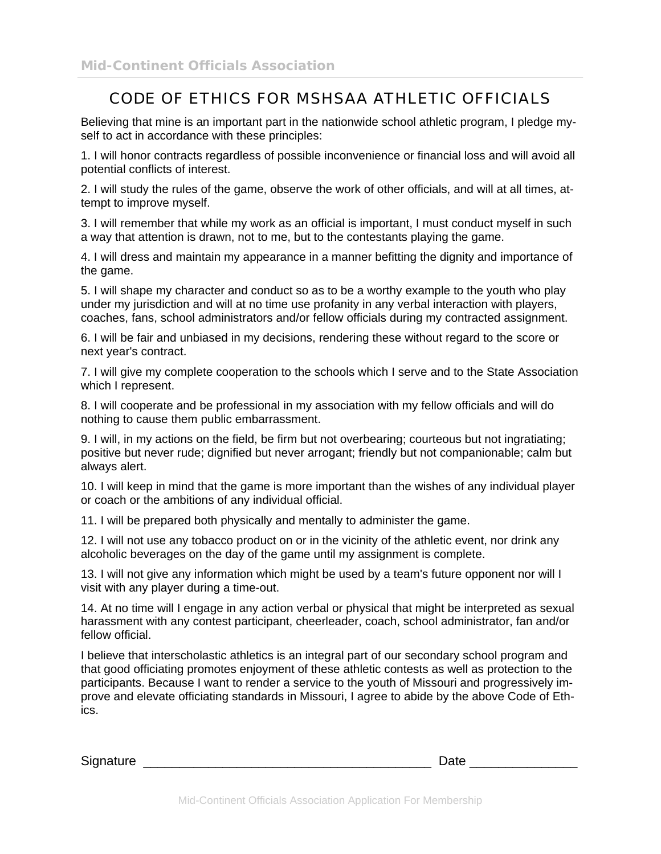## CODE OF ETHICS FOR MSHSAA ATHLETIC OFFICIALS

Believing that mine is an important part in the nationwide school athletic program, I pledge myself to act in accordance with these principles:

1. I will honor contracts regardless of possible inconvenience or financial loss and will avoid all potential conflicts of interest.

2. I will study the rules of the game, observe the work of other officials, and will at all times, attempt to improve myself.

3. I will remember that while my work as an official is important, I must conduct myself in such a way that attention is drawn, not to me, but to the contestants playing the game.

4. I will dress and maintain my appearance in a manner befitting the dignity and importance of the game.

5. I will shape my character and conduct so as to be a worthy example to the youth who play under my jurisdiction and will at no time use profanity in any verbal interaction with players, coaches, fans, school administrators and/or fellow officials during my contracted assignment.

6. I will be fair and unbiased in my decisions, rendering these without regard to the score or next year's contract.

7. I will give my complete cooperation to the schools which I serve and to the State Association which I represent.

8. I will cooperate and be professional in my association with my fellow officials and will do nothing to cause them public embarrassment.

9. I will, in my actions on the field, be firm but not overbearing; courteous but not ingratiating; positive but never rude; dignified but never arrogant; friendly but not companionable; calm but always alert.

10. I will keep in mind that the game is more important than the wishes of any individual player or coach or the ambitions of any individual official.

11. I will be prepared both physically and mentally to administer the game.

12. I will not use any tobacco product on or in the vicinity of the athletic event, nor drink any alcoholic beverages on the day of the game until my assignment is complete.

13. I will not give any information which might be used by a team's future opponent nor will I visit with any player during a time-out.

14. At no time will I engage in any action verbal or physical that might be interpreted as sexual harassment with any contest participant, cheerleader, coach, school administrator, fan and/or fellow official.

I believe that interscholastic athletics is an integral part of our secondary school program and that good officiating promotes enjoyment of these athletic contests as well as protection to the participants. Because I want to render a service to the youth of Missouri and progressively improve and elevate officiating standards in Missouri, I agree to abide by the above Code of Ethics.

 $S$ ignature  $\qquad \qquad \qquad \qquad$